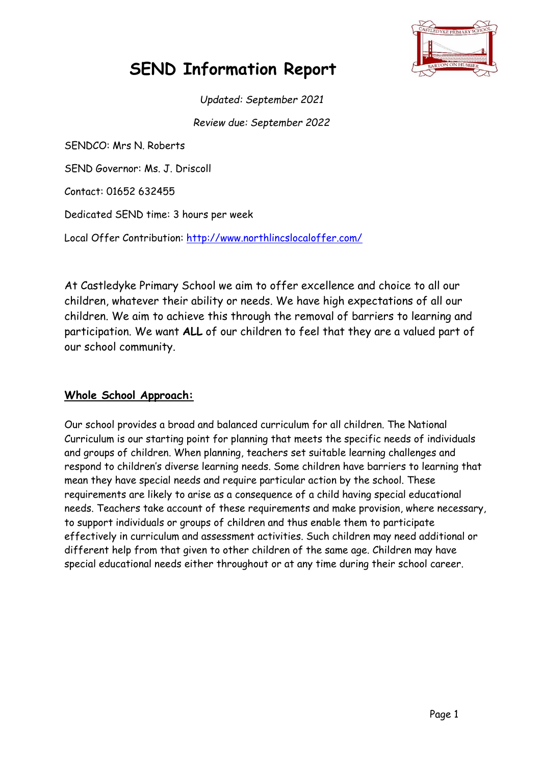

# **SEND Information Report**

*Updated: September 2021 Review due: September 2022*

SENDCO: Mrs N. Roberts SEND Governor: Ms. J. Driscoll Contact: 01652 632455 Dedicated SEND time: 3 hours per week Local Offer Contribution:<http://www.northlincslocaloffer.com/>

At Castledyke Primary School we aim to offer excellence and choice to all our children, whatever their ability or needs. We have high expectations of all our children. We aim to achieve this through the removal of barriers to learning and participation. We want **ALL** of our children to feel that they are a valued part of our school community.

### **Whole School Approach:**

Our school provides a broad and balanced curriculum for all children. The National Curriculum is our starting point for planning that meets the specific needs of individuals and groups of children. When planning, teachers set suitable learning challenges and respond to children's diverse learning needs. Some children have barriers to learning that mean they have special needs and require particular action by the school. These requirements are likely to arise as a consequence of a child having special educational needs. Teachers take account of these requirements and make provision, where necessary, to support individuals or groups of children and thus enable them to participate effectively in curriculum and assessment activities. Such children may need additional or different help from that given to other children of the same age. Children may have special educational needs either throughout or at any time during their school career.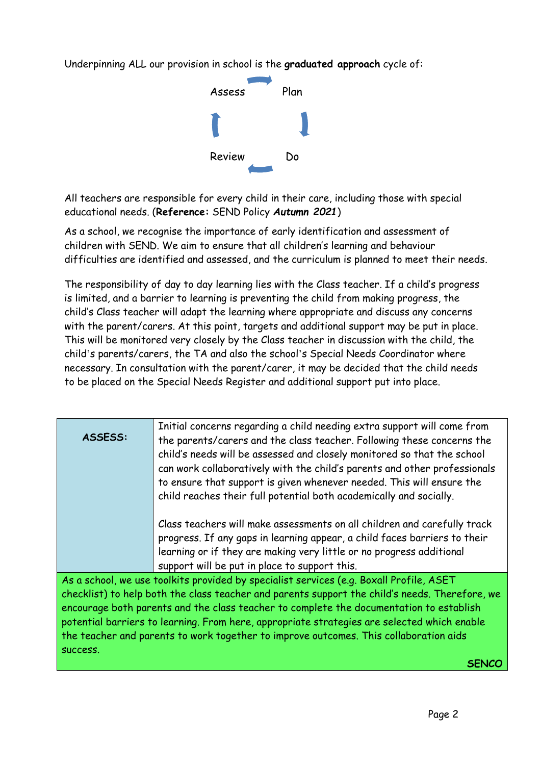Underpinning ALL our provision in school is the **graduated approach** cycle of:



All teachers are responsible for every child in their care, including those with special educational needs. (**Reference:** SEND Policy *Autumn 2021*)

As a school, we recognise the importance of early identification and assessment of children with SEND. We aim to ensure that all children's learning and behaviour difficulties are identified and assessed, and the curriculum is planned to meet their needs.

The responsibility of day to day learning lies with the Class teacher. If a child's progress is limited, and a barrier to learning is preventing the child from making progress, the child's Class teacher will adapt the learning where appropriate and discuss any concerns with the parent/carers. At this point, targets and additional support may be put in place. This will be monitored very closely by the Class teacher in discussion with the child, the child's parents/carers, the TA and also the school's Special Needs Coordinator where necessary. In consultation with the parent/carer, it may be decided that the child needs to be placed on the Special Needs Register and additional support put into place.

| ASSESS:                                                                                        | Initial concerns regarding a child needing extra support will come from<br>the parents/carers and the class teacher. Following these concerns the<br>child's needs will be assessed and closely monitored so that the school<br>can work collaboratively with the child's parents and other professionals |  |
|------------------------------------------------------------------------------------------------|-----------------------------------------------------------------------------------------------------------------------------------------------------------------------------------------------------------------------------------------------------------------------------------------------------------|--|
|                                                                                                | to ensure that support is given whenever needed. This will ensure the                                                                                                                                                                                                                                     |  |
|                                                                                                | child reaches their full potential both academically and socially.                                                                                                                                                                                                                                        |  |
|                                                                                                | Class teachers will make assessments on all children and carefully track                                                                                                                                                                                                                                  |  |
|                                                                                                | progress. If any gaps in learning appear, a child faces barriers to their                                                                                                                                                                                                                                 |  |
|                                                                                                | learning or if they are making very little or no progress additional                                                                                                                                                                                                                                      |  |
|                                                                                                | support will be put in place to support this.                                                                                                                                                                                                                                                             |  |
| As a school, we use toolkits provided by specialist services (e.g. Boxall Profile, ASET        |                                                                                                                                                                                                                                                                                                           |  |
| checklist) to help both the class teacher and parents support the child's needs. Therefore, we |                                                                                                                                                                                                                                                                                                           |  |
| encourage both parents and the class teacher to complete the documentation to establish        |                                                                                                                                                                                                                                                                                                           |  |
| potential barriers to learning. From here, appropriate strategies are selected which enable    |                                                                                                                                                                                                                                                                                                           |  |

success.

the teacher and parents to work together to improve outcomes. This collaboration aids **SENCO**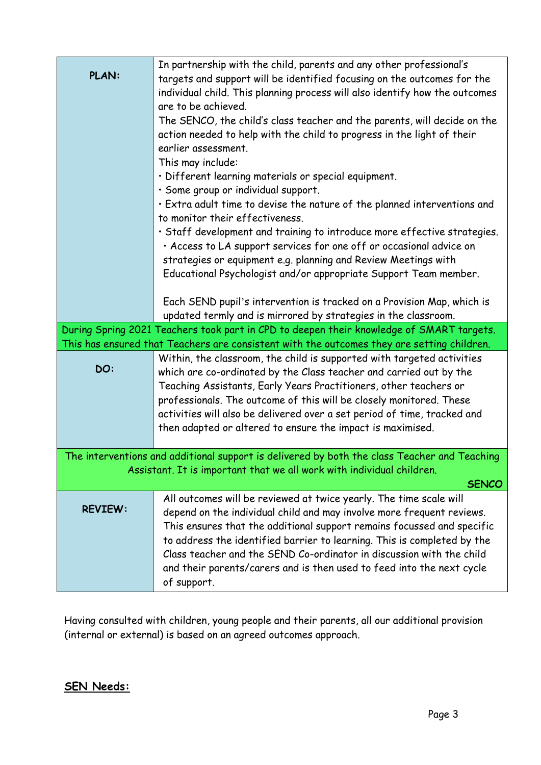|                                                                                              | In partnership with the child, parents and any other professional's                                                                             |  |  |
|----------------------------------------------------------------------------------------------|-------------------------------------------------------------------------------------------------------------------------------------------------|--|--|
| <b>PLAN:</b>                                                                                 | targets and support will be identified focusing on the outcomes for the                                                                         |  |  |
|                                                                                              | individual child. This planning process will also identify how the outcomes                                                                     |  |  |
|                                                                                              | are to be achieved.                                                                                                                             |  |  |
|                                                                                              | The SENCO, the child's class teacher and the parents, will decide on the                                                                        |  |  |
|                                                                                              | action needed to help with the child to progress in the light of their                                                                          |  |  |
|                                                                                              | earlier assessment.                                                                                                                             |  |  |
|                                                                                              | This may include:                                                                                                                               |  |  |
|                                                                                              | · Different learning materials or special equipment.                                                                                            |  |  |
|                                                                                              | · Some group or individual support.                                                                                                             |  |  |
|                                                                                              | · Extra adult time to devise the nature of the planned interventions and                                                                        |  |  |
|                                                                                              | to monitor their effectiveness.                                                                                                                 |  |  |
|                                                                                              | · Staff development and training to introduce more effective strategies.                                                                        |  |  |
|                                                                                              | · Access to LA support services for one off or occasional advice on                                                                             |  |  |
|                                                                                              | strategies or equipment e.g. planning and Review Meetings with                                                                                  |  |  |
|                                                                                              | Educational Psychologist and/or appropriate Support Team member.                                                                                |  |  |
|                                                                                              |                                                                                                                                                 |  |  |
|                                                                                              | Each SEND pupil's intervention is tracked on a Provision Map, which is                                                                          |  |  |
|                                                                                              | updated termly and is mirrored by strategies in the classroom.                                                                                  |  |  |
|                                                                                              | During Spring 2021 Teachers took part in CPD to deepen their knowledge of SMART targets.                                                        |  |  |
|                                                                                              | This has ensured that Teachers are consistent with the outcomes they are setting children.                                                      |  |  |
|                                                                                              | Within, the classroom, the child is supported with targeted activities                                                                          |  |  |
| DO:                                                                                          | which are co-ordinated by the Class teacher and carried out by the                                                                              |  |  |
|                                                                                              | Teaching Assistants, Early Years Practitioners, other teachers or                                                                               |  |  |
|                                                                                              | professionals. The outcome of this will be closely monitored. These                                                                             |  |  |
|                                                                                              | activities will also be delivered over a set period of time, tracked and                                                                        |  |  |
|                                                                                              | then adapted or altered to ensure the impact is maximised.                                                                                      |  |  |
|                                                                                              |                                                                                                                                                 |  |  |
| The interventions and additional support is delivered by both the class Teacher and Teaching |                                                                                                                                                 |  |  |
| Assistant. It is important that we all work with individual children.<br><b>SENCO</b>        |                                                                                                                                                 |  |  |
|                                                                                              | All outcomes will be reviewed at twice yearly. The time scale will                                                                              |  |  |
| <b>REVIEW:</b>                                                                               | depend on the individual child and may involve more frequent reviews.                                                                           |  |  |
|                                                                                              |                                                                                                                                                 |  |  |
|                                                                                              | This ensures that the additional support remains focussed and specific                                                                          |  |  |
|                                                                                              | to address the identified barrier to learning. This is completed by the<br>Class teacher and the SEND Co-ordinator in discussion with the child |  |  |
|                                                                                              |                                                                                                                                                 |  |  |
|                                                                                              | and their parents/carers and is then used to feed into the next cycle<br>of support.                                                            |  |  |
|                                                                                              |                                                                                                                                                 |  |  |

Having consulted with children, young people and their parents, all our additional provision (internal or external) is based on an agreed outcomes approach.

# **SEN Needs:**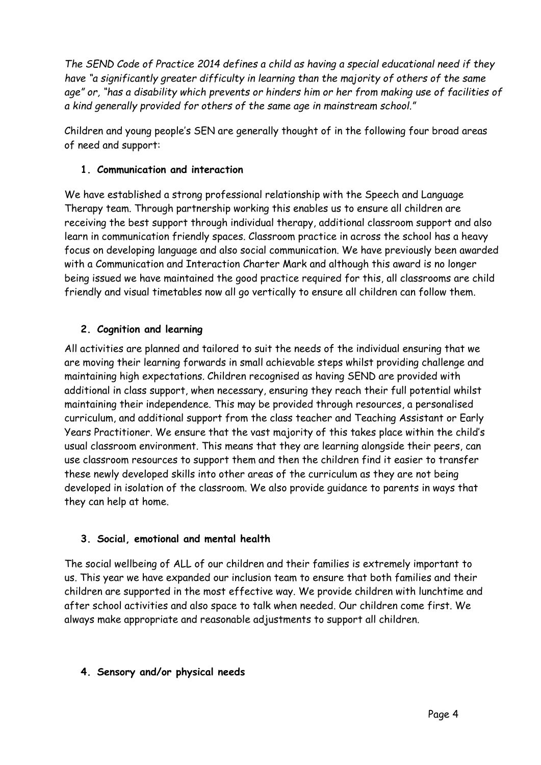*The SEND Code of Practice 2014 defines a child as having a special educational need if they have "a significantly greater difficulty in learning than the majority of others of the same age" or, "has a disability which prevents or hinders him or her from making use of facilities of a kind generally provided for others of the same age in mainstream school."*

Children and young people's SEN are generally thought of in the following four broad areas of need and support:

### **1. Communication and interaction**

We have established a strong professional relationship with the Speech and Language Therapy team. Through partnership working this enables us to ensure all children are receiving the best support through individual therapy, additional classroom support and also learn in communication friendly spaces. Classroom practice in across the school has a heavy focus on developing language and also social communication. We have previously been awarded with a Communication and Interaction Charter Mark and although this award is no longer being issued we have maintained the good practice required for this, all classrooms are child friendly and visual timetables now all go vertically to ensure all children can follow them.

### **2. Cognition and learning**

All activities are planned and tailored to suit the needs of the individual ensuring that we are moving their learning forwards in small achievable steps whilst providing challenge and maintaining high expectations. Children recognised as having SEND are provided with additional in class support, when necessary, ensuring they reach their full potential whilst maintaining their independence. This may be provided through resources, a personalised curriculum, and additional support from the class teacher and Teaching Assistant or Early Years Practitioner. We ensure that the vast majority of this takes place within the child's usual classroom environment. This means that they are learning alongside their peers, can use classroom resources to support them and then the children find it easier to transfer these newly developed skills into other areas of the curriculum as they are not being developed in isolation of the classroom. We also provide guidance to parents in ways that they can help at home.

### **3. Social, emotional and mental health**

The social wellbeing of ALL of our children and their families is extremely important to us. This year we have expanded our inclusion team to ensure that both families and their children are supported in the most effective way. We provide children with lunchtime and after school activities and also space to talk when needed. Our children come first. We always make appropriate and reasonable adjustments to support all children.

### **4. Sensory and/or physical needs**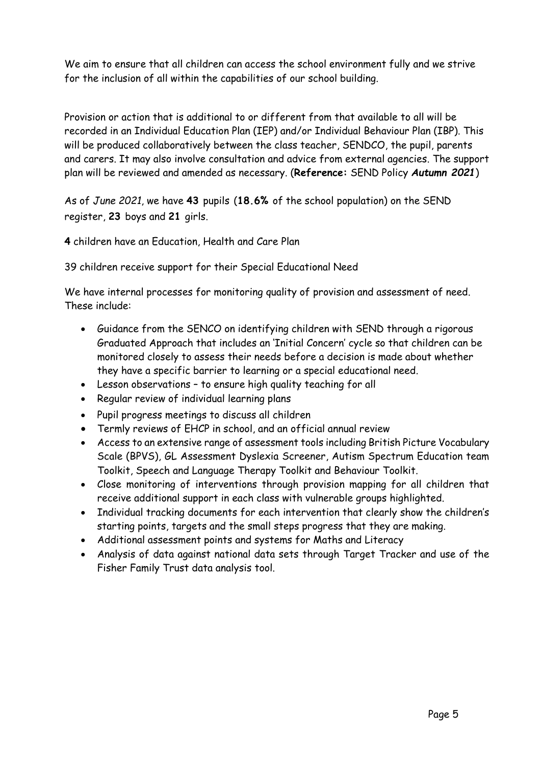We aim to ensure that all children can access the school environment fully and we strive for the inclusion of all within the capabilities of our school building.

Provision or action that is additional to or different from that available to all will be recorded in an Individual Education Plan (IEP) and/or Individual Behaviour Plan (IBP). This will be produced collaboratively between the class teacher, SENDCO, the pupil, parents and carers. It may also involve consultation and advice from external agencies. The support plan will be reviewed and amended as necessary. (**Reference:** SEND Policy *Autumn 2021*)

As of *June 2021*, we have **43** pupils (**18.6%** of the school population) on the SEND register, **23** boys and **21** girls.

**4** children have an Education, Health and Care Plan

39 children receive support for their Special Educational Need

We have internal processes for monitoring quality of provision and assessment of need. These include:

- Guidance from the SENCO on identifying children with SEND through a rigorous Graduated Approach that includes an 'Initial Concern' cycle so that children can be monitored closely to assess their needs before a decision is made about whether they have a specific barrier to learning or a special educational need.
- Lesson observations to ensure high quality teaching for all
- Regular review of individual learning plans
- Pupil progress meetings to discuss all children
- Termly reviews of EHCP in school, and an official annual review
- Access to an extensive range of assessment tools including British Picture Vocabulary Scale (BPVS), GL Assessment Dyslexia Screener, Autism Spectrum Education team Toolkit, Speech and Language Therapy Toolkit and Behaviour Toolkit.
- Close monitoring of interventions through provision mapping for all children that receive additional support in each class with vulnerable groups highlighted.
- Individual tracking documents for each intervention that clearly show the children's starting points, targets and the small steps progress that they are making.
- Additional assessment points and systems for Maths and Literacy
- Analysis of data against national data sets through Target Tracker and use of the Fisher Family Trust data analysis tool.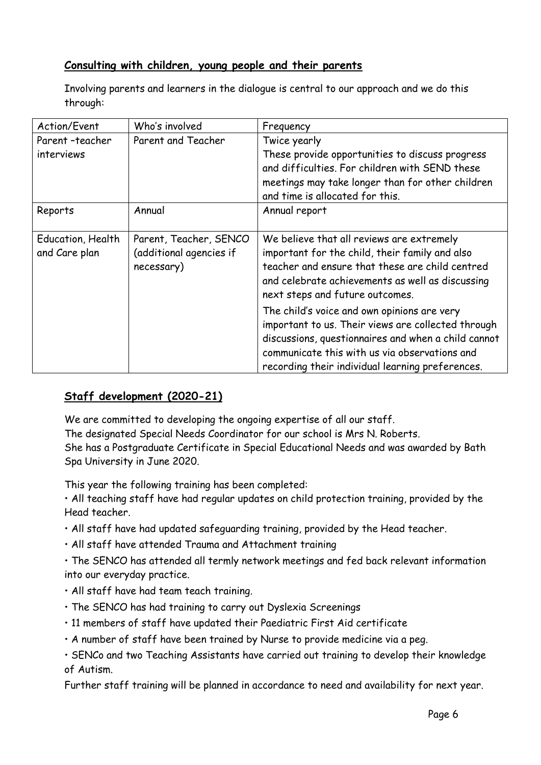### **Consulting with children, young people and their parents**

Involving parents and learners in the dialogue is central to our approach and we do this through:

| Action/Event      | Who's involved          | Frequency                                           |
|-------------------|-------------------------|-----------------------------------------------------|
| Parent-teacher    | Parent and Teacher      | Twice yearly                                        |
| interviews        |                         | These provide opportunities to discuss progress     |
|                   |                         | and difficulties. For children with SEND these      |
|                   |                         | meetings may take longer than for other children    |
|                   |                         | and time is allocated for this.                     |
| Reports           | Annual                  | Annual report                                       |
|                   |                         |                                                     |
| Education, Health | Parent, Teacher, SENCO  | We believe that all reviews are extremely           |
| and Care plan     | (additional agencies if | important for the child, their family and also      |
|                   | necessary)              | teacher and ensure that these are child centred     |
|                   |                         | and celebrate achievements as well as discussing    |
|                   |                         | next steps and future outcomes.                     |
|                   |                         | The child's voice and own opinions are very         |
|                   |                         | important to us. Their views are collected through  |
|                   |                         | discussions, questionnaires and when a child cannot |
|                   |                         | communicate this with us via observations and       |
|                   |                         | recording their individual learning preferences.    |

# **Staff development (2020-21)**

We are committed to developing the ongoing expertise of all our staff. The designated Special Needs Coordinator for our school is Mrs N. Roberts. She has a Postgraduate Certificate in Special Educational Needs and was awarded by Bath Spa University in June 2020.

This year the following training has been completed:

• All teaching staff have had regular updates on child protection training, provided by the Head teacher.

- All staff have had updated safeguarding training, provided by the Head teacher.
- All staff have attended Trauma and Attachment training
- The SENCO has attended all termly network meetings and fed back relevant information into our everyday practice.
- All staff have had team teach training.
- The SENCO has had training to carry out Dyslexia Screenings
- 11 members of staff have updated their Paediatric First Aid certificate
- A number of staff have been trained by Nurse to provide medicine via a peg.

• SENCo and two Teaching Assistants have carried out training to develop their knowledge of Autism.

Further staff training will be planned in accordance to need and availability for next year.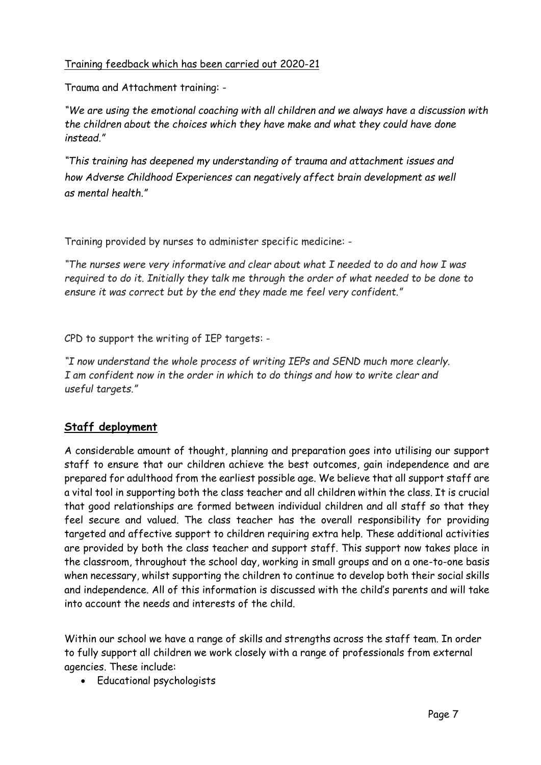### Training feedback which has been carried out 2020-21

Trauma and Attachment training: -

*"We are using the emotional coaching with all children and we always have a discussion with the children about the choices which they have make and what they could have done instead."* 

*"This training has deepened my understanding of trauma and attachment issues and how Adverse Childhood Experiences can negatively affect brain development as well as mental health."*

Training provided by nurses to administer specific medicine: -

*"The nurses were very informative and clear about what I needed to do and how I was required to do it. Initially they talk me through the order of what needed to be done to ensure it was correct but by the end they made me feel very confident."*

CPD to support the writing of IEP targets: -

*"I now understand the whole process of writing IEPs and SEND much more clearly. I am confident now in the order in which to do things and how to write clear and useful targets."*

# **Staff deployment**

A considerable amount of thought, planning and preparation goes into utilising our support staff to ensure that our children achieve the best outcomes, gain independence and are prepared for adulthood from the earliest possible age. We believe that all support staff are a vital tool in supporting both the class teacher and all children within the class. It is crucial that good relationships are formed between individual children and all staff so that they feel secure and valued. The class teacher has the overall responsibility for providing targeted and affective support to children requiring extra help. These additional activities are provided by both the class teacher and support staff. This support now takes place in the classroom, throughout the school day, working in small groups and on a one-to-one basis when necessary, whilst supporting the children to continue to develop both their social skills and independence. All of this information is discussed with the child's parents and will take into account the needs and interests of the child.

Within our school we have a range of skills and strengths across the staff team. In order to fully support all children we work closely with a range of professionals from external agencies. These include:

Educational psychologists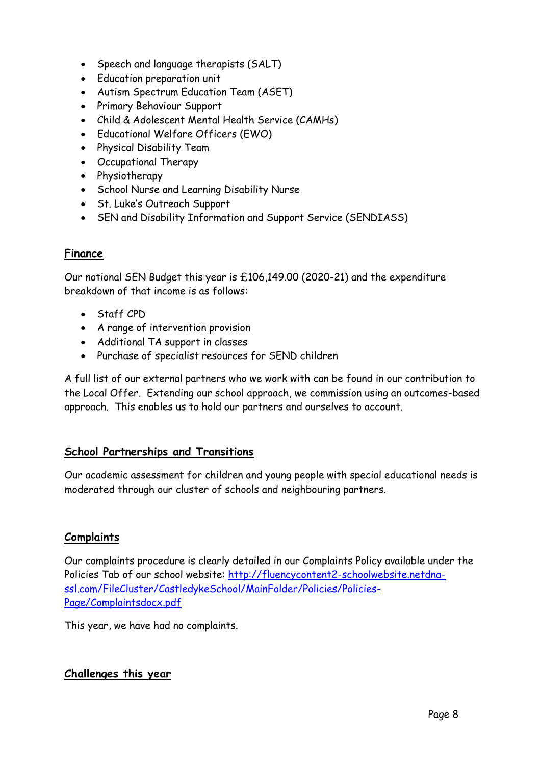- Speech and language therapists (SALT)
- Education preparation unit
- Autism Spectrum Education Team (ASET)
- Primary Behaviour Support
- Child & Adolescent Mental Health Service (CAMHs)
- Educational Welfare Officers (EWO)
- Physical Disability Team
- Occupational Therapy
- Physiotherapy
- School Nurse and Learning Disability Nurse
- St. Luke's Outreach Support
- SEN and Disability Information and Support Service (SENDIASS)

### **Finance**

Our notional SEN Budget this year is £106,149.00 (2020-21) and the expenditure breakdown of that income is as follows:

- Staff CPD
- A range of intervention provision
- Additional TA support in classes
- Purchase of specialist resources for SEND children

A full list of our external partners who we work with can be found in our contribution to the Local Offer. Extending our school approach, we commission using an outcomes-based approach. This enables us to hold our partners and ourselves to account.

### **School Partnerships and Transitions**

Our academic assessment for children and young people with special educational needs is moderated through our cluster of schools and neighbouring partners.

### **Complaints**

Our complaints procedure is clearly detailed in our Complaints Policy available under the Policies Tab of our school website: [http://fluencycontent2-schoolwebsite.netdna](http://fluencycontent2-schoolwebsite.netdna-ssl.com/FileCluster/CastledykeSchool/MainFolder/Policies/Policies-Page/Complaintsdocx.pdf)[ssl.com/FileCluster/CastledykeSchool/MainFolder/Policies/Policies-](http://fluencycontent2-schoolwebsite.netdna-ssl.com/FileCluster/CastledykeSchool/MainFolder/Policies/Policies-Page/Complaintsdocx.pdf)[Page/Complaintsdocx.pdf](http://fluencycontent2-schoolwebsite.netdna-ssl.com/FileCluster/CastledykeSchool/MainFolder/Policies/Policies-Page/Complaintsdocx.pdf)

This year, we have had no complaints.

### **Challenges this year**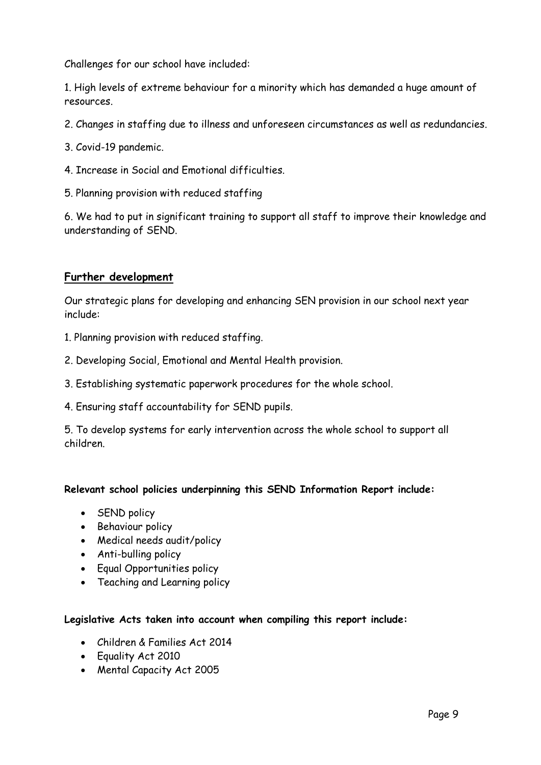Challenges for our school have included:

1. High levels of extreme behaviour for a minority which has demanded a huge amount of resources.

- 2. Changes in staffing due to illness and unforeseen circumstances as well as redundancies.
- 3. Covid-19 pandemic.
- 4. Increase in Social and Emotional difficulties.
- 5. Planning provision with reduced staffing

6. We had to put in significant training to support all staff to improve their knowledge and understanding of SEND.

#### **Further development**

Our strategic plans for developing and enhancing SEN provision in our school next year include:

- 1. Planning provision with reduced staffing.
- 2. Developing Social, Emotional and Mental Health provision.
- 3. Establishing systematic paperwork procedures for the whole school.
- 4. Ensuring staff accountability for SEND pupils.

5. To develop systems for early intervention across the whole school to support all children.

#### **Relevant school policies underpinning this SEND Information Report include:**

- SEND policy
- Behaviour policy
- Medical needs audit/policy
- Anti-bulling policy
- Equal Opportunities policy
- Teaching and Learning policy

#### **Legislative Acts taken into account when compiling this report include:**

- Children & Families Act 2014
- Equality Act 2010
- Mental Capacity Act 2005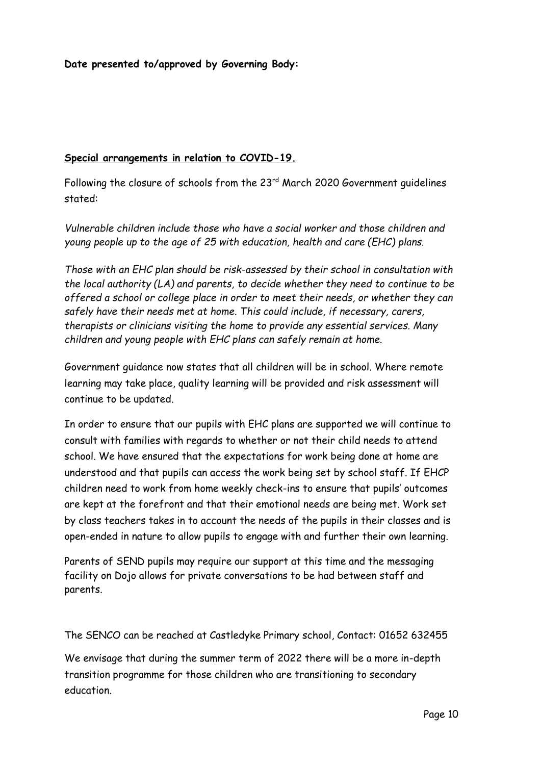**Date presented to/approved by Governing Body:**

#### **Special arrangements in relation to COVID-19.**

Following the closure of schools from the 23rd March 2020 Government guidelines stated:

*Vulnerable children include those who have a social worker and those children and young people up to the age of 25 with education, health and care (EHC) plans.*

*Those with an EHC plan should be risk-assessed by their school in consultation with the local authority (LA) and parents, to decide whether they need to continue to be offered a school or college place in order to meet their needs, or whether they can safely have their needs met at home. This could include, if necessary, carers, therapists or clinicians visiting the home to provide any essential services. Many children and young people with EHC plans can safely remain at home.*

Government guidance now states that all children will be in school. Where remote learning may take place, quality learning will be provided and risk assessment will continue to be updated.

In order to ensure that our pupils with EHC plans are supported we will continue to consult with families with regards to whether or not their child needs to attend school. We have ensured that the expectations for work being done at home are understood and that pupils can access the work being set by school staff. If EHCP children need to work from home weekly check-ins to ensure that pupils' outcomes are kept at the forefront and that their emotional needs are being met. Work set by class teachers takes in to account the needs of the pupils in their classes and is open-ended in nature to allow pupils to engage with and further their own learning.

Parents of SEND pupils may require our support at this time and the messaging facility on Dojo allows for private conversations to be had between staff and parents.

The SENCO can be reached at Castledyke Primary school, Contact: 01652 632455

We envisage that during the summer term of 2022 there will be a more in-depth transition programme for those children who are transitioning to secondary education.